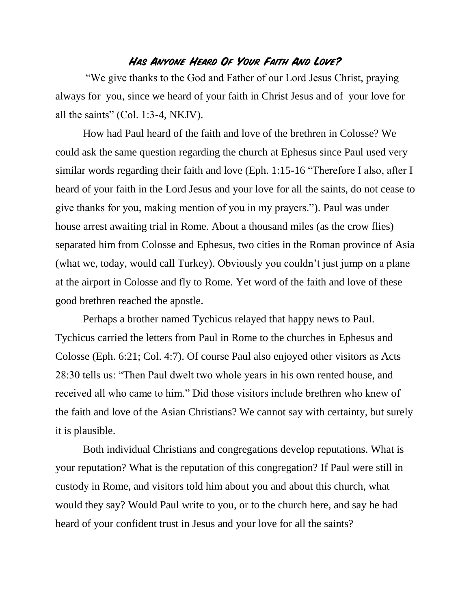## **Has Anyone Heard Of Your Faith And Love?**

"We give thanks to the God and Father of our Lord Jesus Christ, praying always for you, since we heard of your faith in Christ Jesus and of your love for all the saints" (Col. 1:3-4, NKJV).

How had Paul heard of the faith and love of the brethren in Colosse? We could ask the same question regarding the church at Ephesus since Paul used very similar words regarding their faith and love (Eph. 1:15-16 "Therefore I also, after I heard of your faith in the Lord Jesus and your love for all the saints, do not cease to give thanks for you, making mention of you in my prayers."). Paul was under house arrest awaiting trial in Rome. About a thousand miles (as the crow flies) separated him from Colosse and Ephesus, two cities in the Roman province of Asia (what we, today, would call Turkey). Obviously you couldn't just jump on a plane at the airport in Colosse and fly to Rome. Yet word of the faith and love of these good brethren reached the apostle.

Perhaps a brother named Tychicus relayed that happy news to Paul. Tychicus carried the letters from Paul in Rome to the churches in Ephesus and Colosse (Eph. 6:21; Col. 4:7). Of course Paul also enjoyed other visitors as Acts 28:30 tells us: "Then Paul dwelt two whole years in his own rented house, and received all who came to him." Did those visitors include brethren who knew of the faith and love of the Asian Christians? We cannot say with certainty, but surely it is plausible.

Both individual Christians and congregations develop reputations. What is your reputation? What is the reputation of this congregation? If Paul were still in custody in Rome, and visitors told him about you and about this church, what would they say? Would Paul write to you, or to the church here, and say he had heard of your confident trust in Jesus and your love for all the saints?